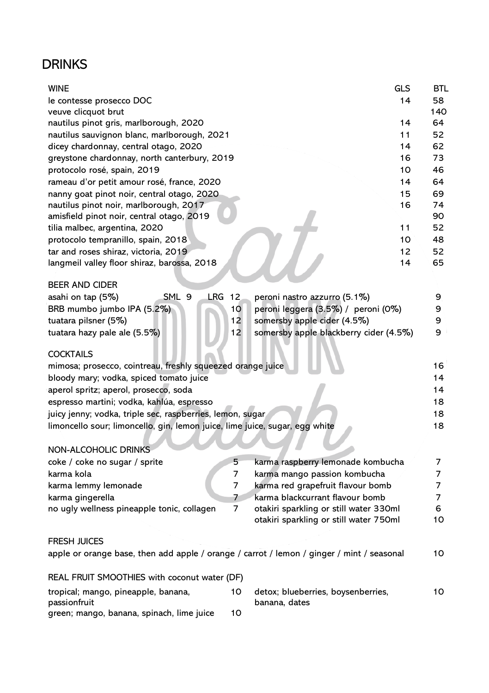## **DRINKS**

| WINE                                                                                      |     | <b>GLS</b>                             | <b>BTL</b> |
|-------------------------------------------------------------------------------------------|-----|----------------------------------------|------------|
| le contesse prosecco DOC                                                                  |     | 14                                     | 58         |
| veuve clicquot brut                                                                       |     |                                        | 140        |
| nautilus pinot gris, marlborough, 2020                                                    |     | 14                                     | 64         |
| nautilus sauvignon blanc, marlborough, 2021                                               |     | 11                                     | 52         |
| dicey chardonnay, central otago, 2020                                                     |     | 14                                     | 62         |
| greystone chardonnay, north canterbury, 2019                                              |     | 16                                     | 73         |
| protocolo rosé, spain, 2019                                                               |     | 10                                     | 46         |
| rameau d'or petit amour rosé, france, 2020                                                |     | 14                                     | 64         |
| nanny goat pinot noir, central otago, 2020                                                |     | 15                                     | 69         |
| nautilus pinot noir, marlborough, 2017                                                    |     | 16                                     | 74         |
| amisfield pinot noir, central otago, 2019                                                 |     |                                        | 90         |
| tilia malbec, argentina, 2020                                                             |     | 11                                     | 52         |
| protocolo tempranillo, spain, 2018                                                        |     | 10                                     | 48         |
| tar and roses shiraz, victoria, 2019                                                      |     | 12                                     | 52         |
| langmeil valley floor shiraz, barossa, 2018                                               |     | 14                                     | 65         |
| <b>BEER AND CIDER</b>                                                                     |     |                                        |            |
| SML 9<br>LRG<br>asahi on tap (5%)                                                         | -12 | peroni nastro azzurro (5.1%)           | 9          |
| BRB mumbo jumbo IPA (5.2%)                                                                | 10  | peroni leggera (3.5%) / peroni (0%)    | 9          |
| tuatara pilsner (5%)                                                                      | 12  | somersby apple cider (4.5%)            | 9          |
| tuatara hazy pale ale (5.5%)                                                              | 12  | somersby apple blackberry cider (4.5%) | 9          |
| COCKTAILS                                                                                 |     |                                        |            |
| mimosa; prosecco, cointreau, freshly squeezed orange juice                                |     |                                        | 16         |
| bloody mary; vodka, spiced tomato juice                                                   |     |                                        | 14         |
| aperol spritz; aperol, prosecco, soda                                                     |     |                                        | 14         |
| espresso martini; vodka, kahlúa, espresso                                                 |     |                                        | 18         |
| juicy jenny; vodka, triple sec, raspberries, lemon, sugar                                 |     |                                        | 18         |
| limoncello sour; limoncello, gin, lemon juice, lime juice, sugar, egg white               |     |                                        | 18         |
| NON-ALCOHOLIC DRINKS                                                                      |     |                                        |            |
| coke / coke no sugar / sprite                                                             | 5   | karma raspberry lemonade kombucha      | 7          |
| karma kola                                                                                | 7   | karma mango passion kombucha           | 7          |
| karma lemmy lemonade                                                                      | 7   | karma red grapefruit flavour bomb      | 7          |
| karma gingerella                                                                          | 7   | karma blackcurrant flavour bomb        | 7          |
| no ugly wellness pineapple tonic, collagen                                                | 7   | otakiri sparkling or still water 330ml | 6          |
|                                                                                           |     | otakiri sparkling or still water 750ml | 10         |
| <b>FRESH JUICES</b>                                                                       |     |                                        |            |
| apple or orange base, then add apple / orange / carrot / lemon / ginger / mint / seasonal |     |                                        | 10         |
| REAL FRUIT SMOOTHIES with coconut water (DF)                                              |     |                                        |            |
| tropical; mango, pineapple, banana,                                                       | 10  | detox; blueberries, boysenberries,     | 10         |
| passionfruit<br>green; mango, banana, spinach, lime juice                                 | 10  | banana, dates                          |            |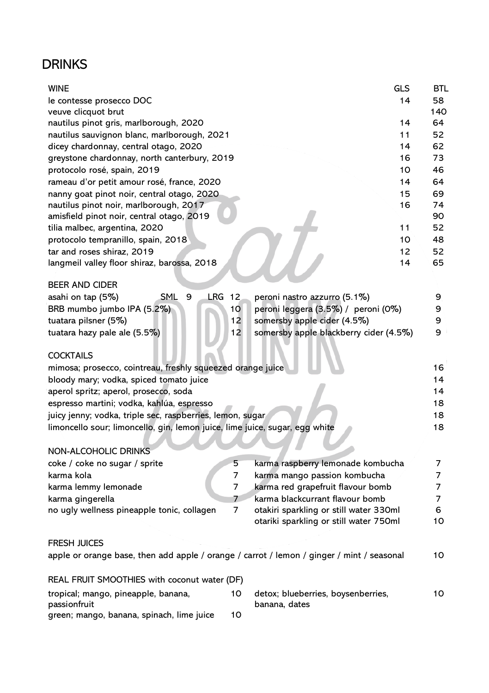## **DRINKS**

| WINE                                                                                      |                 | <b>GLS</b>                             | BTL |
|-------------------------------------------------------------------------------------------|-----------------|----------------------------------------|-----|
| le contesse prosecco DOC                                                                  |                 | 14                                     | 58  |
| veuve clicquot brut                                                                       |                 |                                        | 140 |
| nautilus pinot gris, marlborough, 2020                                                    |                 | 14                                     | 64  |
| nautilus sauvignon blanc, marlborough, 2021                                               |                 | 11                                     | 52  |
| dicey chardonnay, central otago, 2020                                                     |                 | 14                                     | 62  |
| greystone chardonnay, north canterbury, 2019                                              |                 | 16                                     | 73  |
| protocolo rosé, spain, 2019                                                               |                 | 10                                     | 46  |
| rameau d'or petit amour rosé, france, 2020                                                |                 | 14                                     | 64  |
| nanny goat pinot noir, central otago, 2020                                                |                 | 15                                     | 69  |
| nautilus pinot noir, marlborough, 2017                                                    |                 | 16                                     | 74  |
| amisfield pinot noir, central otago, 2019                                                 |                 |                                        | 90  |
| tilia malbec, argentina, 2020                                                             |                 | 11                                     | 52  |
| protocolo tempranillo, spain, 2018                                                        |                 | 10                                     | 48  |
| tar and roses shiraz, 2019                                                                |                 | 12                                     | 52  |
| langmeil valley floor shiraz, barossa, 2018                                               |                 | 14                                     | 65  |
| BEER AND CIDER                                                                            |                 |                                        |     |
| SML<br>9<br>LRG<br>asahi on tap (5%)                                                      | 12              | peroni nastro azzurro (5.1%)           | 9   |
| BRB mumbo jumbo IPA (5.2%)                                                                | 10 <sup>1</sup> | peroni leggera (3.5%) / peroni (0%)    | 9   |
| tuatara pilsner (5%)                                                                      | 12              | somersby apple cider (4.5%)            | 9   |
| tuatara hazy pale ale (5.5%)                                                              | 12              | somersby apple blackberry cider (4.5%) | 9   |
| COCKTAILS                                                                                 |                 |                                        |     |
| mimosa; prosecco, cointreau, freshly squeezed orange juice                                |                 |                                        | 16  |
| bloody mary; vodka, spiced tomato juice                                                   |                 |                                        | 14  |
| aperol spritz; aperol, prosecco, soda                                                     |                 |                                        | 14  |
| espresso martini; vodka, kahlúa, espresso                                                 |                 |                                        | 18  |
| juicy jenny; vodka, triple sec, raspberries, lemon, sugar                                 |                 |                                        | 18  |
| limoncello sour; limoncello, gin, lemon juice, lime juice, sugar, egg white               |                 |                                        | 18  |
| NON-ALCOHOLIC DRINKS                                                                      |                 |                                        |     |
| coke / coke no sugar / sprite                                                             | 5               | karma raspberry lemonade kombucha      | 7   |
| karma kola                                                                                | 7               | karma mango passion kombucha           | 7   |
| karma lemmy lemonade                                                                      | 7               | karma red grapefruit flavour bomb      | 7   |
| karma gingerella                                                                          | 7               | karma blackcurrant flavour bomb        | 7   |
| no ugly wellness pineapple tonic, collagen                                                | 7               | otakiri sparkling or still water 330ml | 6   |
|                                                                                           |                 | otariki sparkling or still water 750ml | 10  |
| <b>FRESH JUICES</b>                                                                       |                 |                                        |     |
| apple or orange base, then add apple / orange / carrot / lemon / ginger / mint / seasonal |                 |                                        | 10  |
| REAL FRUIT SMOOTHIES with coconut water (DF)                                              |                 |                                        |     |
| tropical; mango, pineapple, banana,                                                       | 10              | detox; blueberries, boysenberries,     | 10  |
| passionfruit<br>green; mango, banana, spinach, lime juice                                 | 10              | banana, dates                          |     |